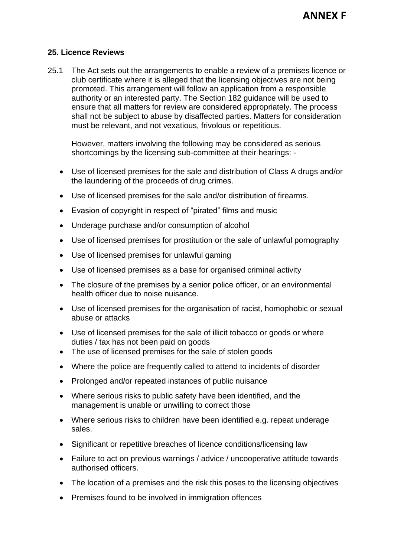## **25. Licence Reviews**

25.1 The Act sets out the arrangements to enable a review of a premises licence or club certificate where it is alleged that the licensing objectives are not being promoted. This arrangement will follow an application from a responsible authority or an interested party. The Section 182 guidance will be used to ensure that all matters for review are considered appropriately. The process shall not be subject to abuse by disaffected parties. Matters for consideration must be relevant, and not vexatious, frivolous or repetitious.

However, matters involving the following may be considered as serious shortcomings by the licensing sub-committee at their hearings: -

- Use of licensed premises for the sale and distribution of Class A drugs and/or the laundering of the proceeds of drug crimes.
- Use of licensed premises for the sale and/or distribution of firearms.
- Evasion of copyright in respect of "pirated" films and music
- Underage purchase and/or consumption of alcohol
- Use of licensed premises for prostitution or the sale of unlawful pornography
- Use of licensed premises for unlawful gaming
- Use of licensed premises as a base for organised criminal activity
- The closure of the premises by a senior police officer, or an environmental health officer due to noise nuisance.
- Use of licensed premises for the organisation of racist, homophobic or sexual abuse or attacks
- Use of licensed premises for the sale of illicit tobacco or goods or where duties / tax has not been paid on goods
- The use of licensed premises for the sale of stolen goods
- Where the police are frequently called to attend to incidents of disorder
- Prolonged and/or repeated instances of public nuisance
- Where serious risks to public safety have been identified, and the management is unable or unwilling to correct those
- Where serious risks to children have been identified e.g. repeat underage sales.
- Significant or repetitive breaches of licence conditions/licensing law
- Failure to act on previous warnings / advice / uncooperative attitude towards authorised officers.
- The location of a premises and the risk this poses to the licensing objectives
- Premises found to be involved in immigration offences